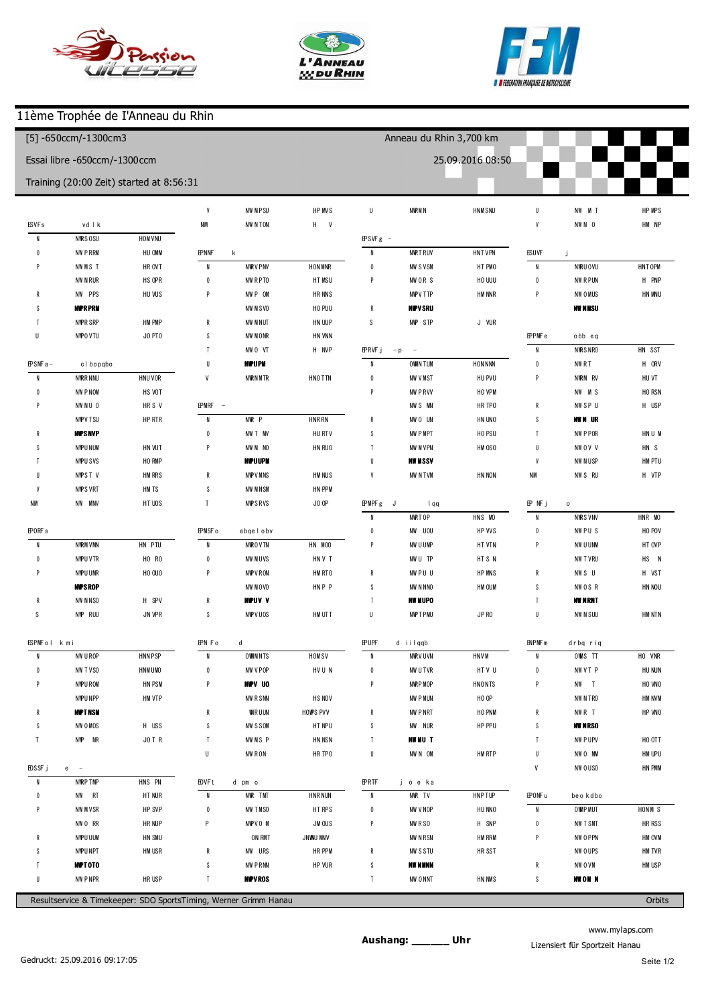





ı

## 11ème Trophée de I'Anneau du Rhin

| [5] -650ccm/-1300cm3<br>Essai libre -650ccm/-1300ccm |                             |                                          |                         |                         |             | Anneau du Rhin 3,700 km |                           |                  |                         |                         |           |
|------------------------------------------------------|-----------------------------|------------------------------------------|-------------------------|-------------------------|-------------|-------------------------|---------------------------|------------------|-------------------------|-------------------------|-----------|
|                                                      |                             |                                          |                         |                         |             |                         |                           | 25.09.2016 08:50 |                         |                         |           |
|                                                      |                             | Training (20:00 Zeit) started at 8:56:31 |                         |                         |             |                         |                           |                  |                         |                         |           |
|                                                      |                             |                                          | $\boldsymbol{9}$        | 1 40.368                | $+3.096$    | p8                      | 150.144                   | $+10.618$        | 8                       | 1 44.047                | $+3.036$  |
| $(69)$ V ncent                                       | <b>BAYGDNI</b>              |                                          | 010                     | 1 41.721                | $+4.449$    |                         |                           |                  | $\boldsymbol{9}$        | 1 41.424                | $+0.413$  |
| $\overline{1}$                                       | 156.268                     | $+20.918$                                |                         |                         |             |                         | (369) Jerom e brunner     |                  |                         |                         |           |
| $\overline{2}$                                       | 1 43.550                    | $+8.200$                                 | (311) Brian N diaye     |                         |             | $\overline{1}$          | 157.589                   | $+17.931$        |                         | (689) Cedric Mascha     |           |
| 3                                                    | 1 40.647                    | $+5.297$                                 | $\overline{1}$          | 159.319                 | $+21.015$   | $\overline{2}$          | 1 46.960                  | $+7.302$         | $\overline{1}$          | 158.298                 | $+17.230$ |
| $\overline{4}$                                       | 1 41.585                    | $+6.235$                                 | $\overline{2}$          | 1 45.372                | $+7.068$    | 3                       | 1 42.546                  | $+2.888$         | $\overline{2}$          | 1 45.381                | $+4.313$  |
| 5                                                    | 1 44.336                    | $+8.986$                                 | $\sqrt{3}$              | 1 43.420                | $+5.116$    | $\overline{4}$          | 139.773                   | $+0.115$         | 3                       | 1 42.086                | $+1.018$  |
| 6                                                    | 135.350                     |                                          | $\overline{4}$          | 1 40.692                | $+2.388$    | 5                       | 139,658                   |                  | $\overline{4}$          | 141.068                 |           |
| $\overline{7}$                                       | 135.653                     | $+0.303$                                 | 5                       | 1 40.187                | $+1.883$    | p6                      | 134.673                   | $-4.985$         |                         |                         |           |
| p8                                                   | 132.978                     | $-2.372$                                 | $\boldsymbol{6}$        | 1 40.215                | $+1.911$    |                         |                           |                  | (330) Hubert            | REECHT                  |           |
|                                                      |                             |                                          | $\overline{1}$          | 1 42.497                | $+4.193$    | (359) M arco Sc iuto    |                           |                  | $\overline{1}$          | 156.152                 | $+14.667$ |
|                                                      | (361) Dom in ique FO ERSTER |                                          | $\, 8$                  | 138.304                 |             | $\overline{1}$          | 201.780                   | $+21.111$        | $\overline{2}$          | 1 45.744                | $+4.259$  |
| $\overline{1}$                                       | 155.118                     | $+18.925$                                | p9                      | 151.075                 | $+12.771$   | $\overline{2}$          | 1 49.067                  | $+8.398$         | 3                       | 150.459                 | $+8.974$  |
| $\overline{2}$                                       | 1 43.120                    | $+6.927$                                 |                         |                         |             | 3                       | 1 43.599                  | $+2.930$         | $\overline{4}$          | 1 44.046                | $+2.561$  |
| 3                                                    | 1 41.842                    | $+5.649$                                 |                         | (305) jerom e balandier |             | $\overline{4}$          | 1 46.401                  | $+5.732$         | 5                       | 1 46.348                | $+4.863$  |
| $\overline{4}$                                       | 139.768                     | $+3.575$                                 | $\overline{1}$          | 154.344                 | $+15.514$   | 5                       | 1 42.481                  | $+1.812$         | $6\phantom{.0}$         | 141.485                 |           |
| 5                                                    | 136.193                     |                                          | $\sqrt{2}$              | 1 47.409                | $+8.579$    | 6                       | 1 43.037                  | $+2.368$         | $\overline{1}$          | 1 43.325                | $+1.840$  |
| 6                                                    | 138.180                     | $+1.987$                                 | 3                       | 1 40.412                | $+1.582$    | $\overline{1}$          | 1 40.931                  | $+0.262$         | $\,$ 8                  | 1 42.949                | $+1.464$  |
| $\overline{7}$                                       | 138.696                     | $+2.503$                                 | $\overline{4}$          | 138.830                 |             | 8                       | 140.669                   |                  | $\boldsymbol{9}$        | 1 41.863                | $+0.378$  |
| 8                                                    | 136.749                     | $+0.556$                                 | 5                       | 139.016                 | $+0.186$    | 9                       | 1 41.790                  | $+1.121$         | 510                     | 1 46.458                | $+4.973$  |
| 9                                                    | 136.957                     | $+0.764$                                 | $\boldsymbol{6}$        | 1 40.160                | $+1.330$    |                         |                           |                  |                         |                         |           |
| 010                                                  | 1 44.019                    | $+7.826$                                 | p7                      | 136.596                 | $-2.234$    |                         | (303) Jean--?pascal BOTTA |                  | (341) M anue I Renard   |                         |           |
|                                                      |                             |                                          |                         |                         |             | $\overline{1}$          | 157.234                   | $+16.402$        | $\overline{1}$          | 156.919                 | $+15.402$ |
| (325) V incent C lauer                               |                             |                                          |                         | (306) Raynald DETHOREY  |             | $\overline{2}$          | 1 44.828                  | $+3.996$         | $\overline{2}$          | 1 43.846                | $+2.329$  |
| $\overline{1}$                                       | 150.901                     | $+14.378$                                | $\overline{1}$          | 152.971                 | $+14.022$   | $\mathbf{3}$            | 1 48.803                  | $+7.971$         | $\sqrt{3}$              | 1 48.810                | $+7.293$  |
| $\overline{2}$                                       | 138.975                     | $+2.452$                                 | $\overline{2}$          | 1 40.896                | $+1.947$    | 4                       | 1 48.473                  | $+7.641$         | $\overline{4}$          | 1 47.958                | $+6.441$  |
| 3                                                    | 138.805                     | $+2.282$                                 | $\sqrt{3}$              | 139.521                 | $+0.572$    | 5                       | 1 43.848                  | $+3.016$         | 5                       | 1 46.484                | $+4.967$  |
| 4                                                    | 136.523                     |                                          | $\sqrt{4}$              | 1 40.292                | $+1.343$    | $6\phantom{1}$          | 1 41.112                  | $+0.280$         | $\boldsymbol{6}$        | 1 42.645                | $+1.128$  |
| 5                                                    | 1 41.162                    | $+4.639$                                 | 5                       | 138.949                 |             | $\overline{7}$          | 1 40.832                  |                  | $\overline{1}$          | 141517                  |           |
| p6                                                   | 134.588                     | $-1.935$                                 | $\boldsymbol{6}$        | 139.826                 | $+0.877$    | p8                      | 137.308                   | $-3.524$         | 8                       | 1 41.688                | $+0.171$  |
| (630) ROB N PLAZA                                    |                             |                                          | (314) R ichard G relier |                         |             | (383) Brice GALLOTTE    |                           |                  | (130) Philippe GUETAULT |                         |           |
| $\overline{1}$                                       | 1 48.523                    | $+11.363$                                | $\overline{1}$          | 2 00.176                | $+20.694$   | $\overline{1}$          | 159.891                   | $+19.044$        | $\overline{1}$          | 206.477                 | $+24.915$ |
| $\overline{2}$                                       | 1 47.962                    | $+10.802$                                | $\overline{2}$          | 1 49.323                | $+9.841$    | $\overline{2}$          | 1 48.795                  | $+7.948$         | $\overline{2}$          | 1 49.743                | $+8.181$  |
| 3                                                    | 138.520                     | $+1.360$                                 | $\sqrt{3}$              | 139.482                 |             | $\sqrt{3}$              | 153.023                   | $+12.176$        | $\mathbf{3}$            | 1 44.474                | $+2.912$  |
| 4                                                    | 138.133                     | $+0.973$                                 | p4                      | 145.611                 | $+6.129$    | $\overline{4}$          | 1 43.081                  | $+2.234$         | $\overline{4}$          | 1 41.752                | $+0.190$  |
| 5                                                    | 137.160                     |                                          | 5                       | 4.15.881                | $+236.399$  | 5                       | 1 43.157                  | $+2.310$         | $5\phantom{.0}$         | 1 45.474                | $+3.912$  |
| 6                                                    | 1 42.026                    | $+4.866$                                 | $\boldsymbol{6}$        | 1 46.620                | $+7.138$    | $\boldsymbol{6}$        | 1 44.185                  | $+3.338$         | $6\phantom{.0}$         | 141.562                 |           |
| p7                                                   | 134.415                     | $-2.745$                                 | $\overline{1}$          | 1 40.643                | $+1.161$    | $\overline{7}$          | 140.847                   |                  | $7\phantom{.0}$         | 1 43.839                | $+2.277$  |
|                                                      |                             |                                          | p8                      | 1 45.214                | $+5.732$    | $\bf 8$                 | 1 41.420                  | $+0.573$         | $\,$ 8                  | 1 42.400                | $+0.838$  |
| (266) M ichel Huszovits                              |                             |                                          |                         |                         |             |                         |                           |                  | p9                      | 1 42.862                | $+1.300$  |
| $\overline{1}$                                       | 153.703                     | $+16.431$                                |                         | (29) William GASPAR     |             |                         | (357) A lain MARCHAND     |                  |                         |                         |           |
| $\overline{2}$                                       | 1 44.457                    | $+7.185$                                 | $\overline{1}$          | 154.707                 | $+15.181$   | $\blacksquare$          | 154.794                   | $+13.783$        |                         | (321) Xavier ZAEHR NGER |           |
| 3                                                    | 1 40.965                    | $+3.693$                                 | $\overline{2}$          | 1 47.062                | $+7.536$    | $\overline{2}$          | 1 49.123                  | $+8.112$         | $\overline{1}$          | 203.087                 | $+21.046$ |
| 4                                                    | 1 42.455                    | $+5.183$                                 | p3                      | 139.240                 | $-0.286$    | 3                       | 1 45.624                  | $+4.613$         | $\overline{2}$          | 1 47.607                | $+5.566$  |
| 5                                                    | 138.880                     | $+1.608$                                 | $\overline{4}$          | 21.507                  | $-1.18.019$ | 4                       | 1 41.561                  | $+0.550$         | $\mathbf{3}$            | 1 42.331                | $+0.290$  |
|                                                      | 138.137                     | $+0.865$                                 | 5                       | 1 44.856                | $+5.330$    | 5                       | 1 46.678                  | $+5.667$         | 4                       | 1 42.836                | $+0.795$  |
| 6                                                    |                             |                                          | $\boldsymbol{6}$        | 1 43.511                | $+3.985$    | $\boldsymbol{6}$        | 141.011                   |                  | $5\phantom{.0}$         | 1 42.904                | $+0.863$  |
| 7                                                    | 137.272                     |                                          |                         |                         |             |                         |                           |                  |                         |                         |           |

www.mylaps.com Lizensiert für Sportzeit Hanau